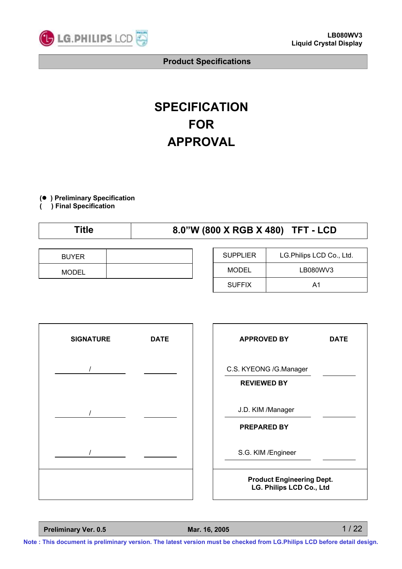

# **SPECIFICATION FOR APPROVAL**

**(**● **) Preliminary Specification**

**( ) Final Specification**

# **Title 8.0"W (800 X RGB X 480) TFT - LCD**

| <b>BUYER</b> |  |
|--------------|--|
| <b>MODEL</b> |  |

| <b>SUPPLIER</b> | LG.Philips LCD Co., Ltd. |  |
|-----------------|--------------------------|--|
| MODEL           | LB080WV3                 |  |
| <b>SUFFIX</b>   | A1                       |  |



| <b>APPROVED BY</b>                                           | <b>DATE</b> |  |  |  |  |
|--------------------------------------------------------------|-------------|--|--|--|--|
| C.S. KYEONG /G.Manager<br><b>REVIEWED BY</b>                 |             |  |  |  |  |
| J.D. KIM /Manager<br><b>PREPARED BY</b>                      |             |  |  |  |  |
| S.G. KIM / Engineer                                          |             |  |  |  |  |
| <b>Product Engineering Dept.</b><br>LG. Philips LCD Co., Ltd |             |  |  |  |  |

**Preliminary Ver. 0.5 Mar. 16, 2005**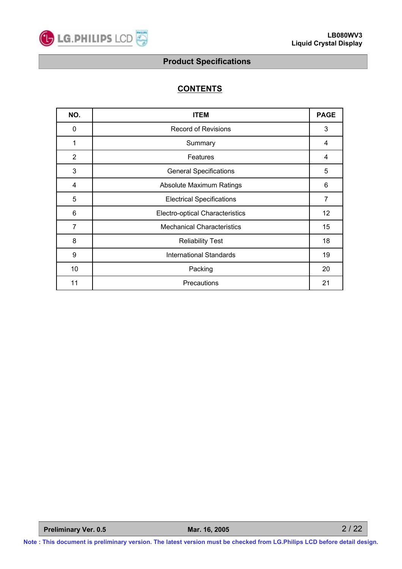

# **CONTENTS**

| NO.            | <b>ITEM</b>                       | <b>PAGE</b>    |
|----------------|-----------------------------------|----------------|
| 0              | <b>Record of Revisions</b>        | 3              |
| 1              | Summary                           | 4              |
| $\overline{2}$ | <b>Features</b>                   | 4              |
| 3              | <b>General Specifications</b>     | 5              |
| 4              | <b>Absolute Maximum Ratings</b>   | 6              |
| 5              | <b>Electrical Specifications</b>  | $\overline{7}$ |
| 6              | Electro-optical Characteristics   | 12             |
| 7              | <b>Mechanical Characteristics</b> | 15             |
| 8              | <b>Reliability Test</b>           | 18             |
| 9              | <b>International Standards</b>    | 19             |
| 10             | Packing                           | 20             |
| 11             | Precautions                       | 21             |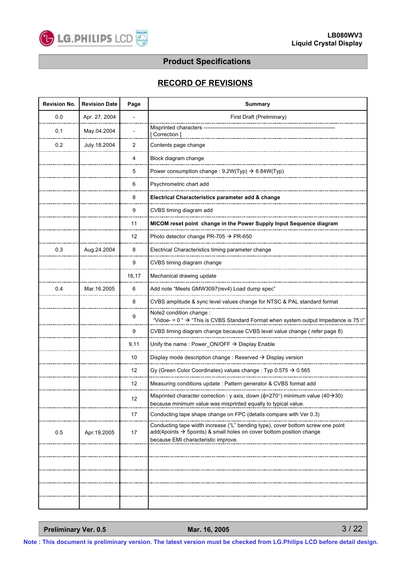

### **RECORD OF REVISIONS**

| <b>Revision No.</b> | <b>Revision Date</b> | Page  | <b>Summary</b>                                                                                                                                                                                             |
|---------------------|----------------------|-------|------------------------------------------------------------------------------------------------------------------------------------------------------------------------------------------------------------|
| 0.0                 | Apr. 27, 2004        |       | First Draft (Preliminary)                                                                                                                                                                                  |
| 0.1                 | May.04.2004          |       | Misprinted characters<br>[ Correction ]                                                                                                                                                                    |
| 0.2                 | July.18.2004         | 2     | Contents page change                                                                                                                                                                                       |
|                     |                      | 4     | Block diagram change                                                                                                                                                                                       |
|                     |                      | 5     | Power consumption change: $9.2W(Typ) \rightarrow 8.84W(Typ)$                                                                                                                                               |
|                     |                      | 6     | Psychrometric chart add                                                                                                                                                                                    |
|                     |                      | 8     | Electrical Characteristics parameter add & change                                                                                                                                                          |
|                     |                      | 9     | CVBS timing diagram add                                                                                                                                                                                    |
|                     |                      | 11    | MICOM reset point change in the Power Supply Input Sequence diagram                                                                                                                                        |
|                     |                      | 12    | Photo detector change PR-705 $\rightarrow$ PR-650                                                                                                                                                          |
| 0.3                 | Aug.24.2004          | 8     | Electrical Characteristics timing parameter change                                                                                                                                                         |
|                     |                      | 9     | CVBS timing diagram change                                                                                                                                                                                 |
|                     |                      | 16,17 | Mechanical drawing update                                                                                                                                                                                  |
| 0.4                 | Mar. 16.2005         | 6     | Add note "Meets GMW3097(rev4) Load dump spec"                                                                                                                                                              |
|                     |                      | 8     | CVBS amplitude & sync level values change for NTSC & PAL standard format                                                                                                                                   |
|                     |                      | 9     | Note2 condition change :<br>"Vidoe- = $0$ " $\rightarrow$ "This is CVBS Standard Format when system output Impedance is 75 $\Omega$ "                                                                      |
|                     |                      | 9     | CVBS timing diagram change because CVBS level value change (refer page 8)                                                                                                                                  |
|                     |                      | 9,11  | Unify the name: Power_ON/OFF $\rightarrow$ Display Enable                                                                                                                                                  |
|                     |                      | 10    | Display mode description change : Reserved $\rightarrow$ Display version                                                                                                                                   |
|                     |                      | 12    | Gy (Green Color Coordinates) values change: Typ 0.575 $\rightarrow$ 0.565                                                                                                                                  |
|                     |                      | 12    | Measuring conditions update : Pattern generator & CVBS format add                                                                                                                                          |
|                     |                      | 12    | Misprinted character correction : y axis, down ( $\phi$ =270°) minimum value (40 $\rightarrow$ 30)                                                                                                         |
|                     |                      |       | because minimum value was misprinted equally to typical value.                                                                                                                                             |
|                     |                      | 17    | Conducting tape shape change on FPC (details compare with Ver 0.3)                                                                                                                                         |
| 0.5                 | Apr.19.2005          | 17    | Conducting tape width increase ("L" bending type), cover bottom screw one point<br>add(4points $\rightarrow$ 5points) & small holes on cover bottom position change<br>because EMI characteristic improve. |
|                     |                      |       |                                                                                                                                                                                                            |
|                     |                      |       |                                                                                                                                                                                                            |
|                     |                      |       |                                                                                                                                                                                                            |
|                     |                      |       |                                                                                                                                                                                                            |
|                     |                      |       |                                                                                                                                                                                                            |
|                     |                      |       |                                                                                                                                                                                                            |

**Preliminary Ver. 0.5 Mar. 16, 2005**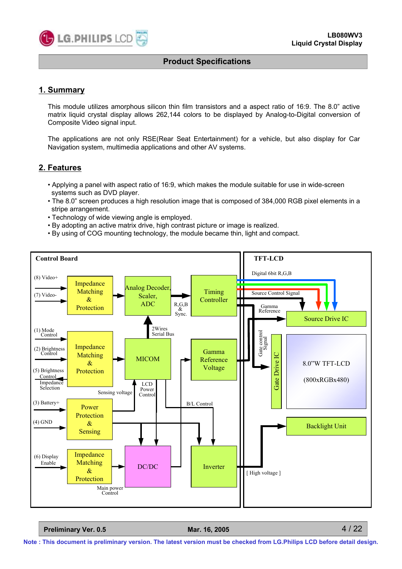

#### **1. Summary**

This module utilizes amorphous silicon thin film transistors and a aspect ratio of 16:9. The 8.0" active matrix liquid crystal display allows 262,144 colors to be displayed by Analog-to-Digital conversion of Composite Video signal input.

The applications are not only RSE(Rear Seat Entertainment) for a vehicle, but also display for Car Navigation system, multimedia applications and other AV systems.

#### **2. Features**

- Applying a panel with aspect ratio of 16:9, which makes the module suitable for use in wide-screen systems such as DVD player.
- The 8.0" screen produces a high resolution image that is composed of 384,000 RGB pixel elements in a stripe arrangement.
- Technology of wide viewing angle is employed.
- By adopting an active matrix drive, high contrast picture or image is realized.
- By using of COG mounting technology, the module became thin, light and compact.



**Preliminary Ver. 0.5 Mar. 16, 2005**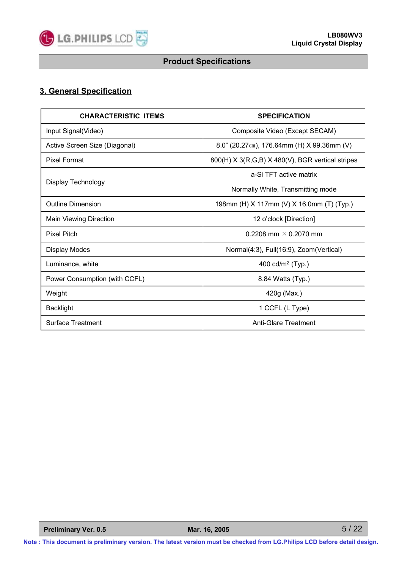

# **3. General Specification**

| <b>CHARACTERISTIC ITEMS</b>   | <b>SPECIFICATION</b>                             |
|-------------------------------|--------------------------------------------------|
| Input Signal(Video)           | Composite Video (Except SECAM)                   |
| Active Screen Size (Diagonal) | 8.0" (20.27cm), 176.64mm (H) $X$ 99.36mm (V)     |
| <b>Pixel Format</b>           | 800(H) X 3(R,G,B) X 480(V), BGR vertical stripes |
|                               | a-Si TFT active matrix                           |
| <b>Display Technology</b>     | Normally White, Transmitting mode                |
| <b>Outline Dimension</b>      | 198mm (H) X 117mm (V) X 16.0mm (T) (Typ.)        |
| <b>Main Viewing Direction</b> | 12 o'clock [Direction]                           |
| <b>Pixel Pitch</b>            | 0.2208 mm $\times$ 0.2070 mm                     |
| <b>Display Modes</b>          | Normal(4:3), Full(16:9), Zoom(Vertical)          |
| Luminance, white              | 400 cd/m <sup>2</sup> (Typ.)                     |
| Power Consumption (with CCFL) | 8.84 Watts (Typ.)                                |
| Weight                        | 420g (Max.)                                      |
| <b>Backlight</b>              | 1 CCFL (L Type)                                  |
| <b>Surface Treatment</b>      | <b>Anti-Glare Treatment</b>                      |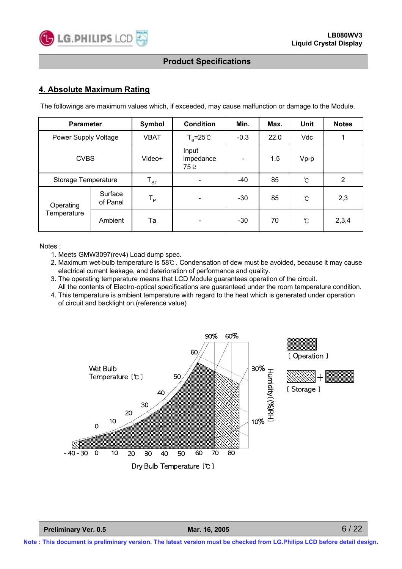

#### **4. Absolute Maximum Rating**

The followings are maximum values which, if exceeded, may cause malfunction or damage to the Module.

| <b>Parameter</b>     |                                                        | <b>Symbol</b>              | <b>Condition</b>                    | Min.          | <b>Unit</b><br>Max. |               | <b>Notes</b> |
|----------------------|--------------------------------------------------------|----------------------------|-------------------------------------|---------------|---------------------|---------------|--------------|
| Power Supply Voltage |                                                        | <b>VBAT</b>                | $T_a = 25^\circ \text{C}$<br>$-0.3$ |               | 22.0                | Vdc           |              |
| <b>CVBS</b>          |                                                        | Video+                     | Input<br>impedance<br><b>75</b> Ω   |               | 1.5<br>$Vp-p$       |               |              |
| Storage Temperature  |                                                        | $\mathsf{T}_{\texttt{ST}}$ | -40                                 |               | 85                  | $\mathcal{C}$ | 2            |
| Operating            | Surface<br>$T_{\mathsf{P}}$<br>85<br>$-30$<br>of Panel |                            |                                     | $\mathcal{C}$ | 2,3                 |               |              |
| Temperature          | Ambient                                                | Ta                         |                                     | $-30$         | 70                  | $\mathcal{C}$ | 2,3,4        |

Notes :

- 1. Meets GMW3097(rev4) Load dump spec.
- 2. Maximum wet-bulb temperature is 58℃ . Condensation of dew must be avoided, because it may cause electrical current leakage, and deterioration of performance and quality.
- 3. The operating temperature means that LCD Module guarantees operation of the circuit. All the contents of Electro-optical specifications are guaranteed under the room temperature condition.
- 4. This temperature is ambient temperature with regard to the heat which is generated under operation of circuit and backlight on.(reference value)

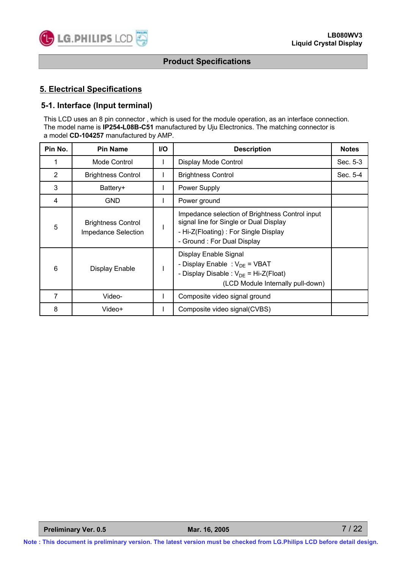

#### **5. Electrical Specifications**

#### **5-1. Interface (Input terminal)**

This LCD uses an 8 pin connector , which is used for the module operation, as an interface connection. The model name is **IP254-L08B-C51** manufactured by Uju Electronics. The matching connector is a model **CD-104257** manufactured by AMP.

| Pin No.        | <b>Pin Name</b>                                  | <b>I/O</b>                                                                                                                                     | <b>Description</b>                                                                                                                                              | <b>Notes</b> |
|----------------|--------------------------------------------------|------------------------------------------------------------------------------------------------------------------------------------------------|-----------------------------------------------------------------------------------------------------------------------------------------------------------------|--------------|
|                | Mode Control                                     | Ι.                                                                                                                                             | Display Mode Control                                                                                                                                            | Sec. 5-3     |
| $\overline{2}$ | <b>Brightness Control</b>                        | L                                                                                                                                              | <b>Brightness Control</b>                                                                                                                                       | Sec. 5-4     |
| 3              | Battery+                                         | L                                                                                                                                              | Power Supply                                                                                                                                                    |              |
| 4              | <b>GND</b>                                       | L                                                                                                                                              | Power ground                                                                                                                                                    |              |
| 5              | <b>Brightness Control</b><br>Impedance Selection |                                                                                                                                                | Impedance selection of Brightness Control input<br>signal line for Single or Dual Display<br>- Hi-Z(Floating): For Single Display<br>- Ground: For Dual Display |              |
| 6              | Display Enable                                   | Display Enable Signal<br>- Display Enable : $V_{DE}$ = VBAT<br>- Display Disable : $V_{DE}$ = Hi-Z(Float)<br>(LCD Module Internally pull-down) |                                                                                                                                                                 |              |
| 7              | Video-                                           | L                                                                                                                                              | Composite video signal ground                                                                                                                                   |              |
| 8              | Video+                                           |                                                                                                                                                | Composite video signal(CVBS)                                                                                                                                    |              |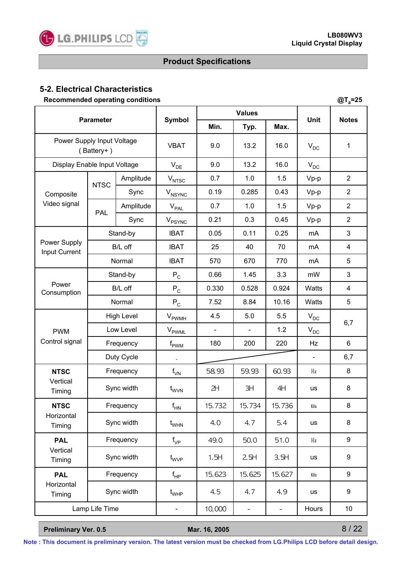

**@Ta=25**

# **Product Specifications**

# **5-2. Electrical Characteristics**

**Recommended operating conditions**

| <b>Parameter</b>                                |                |            |                                  | <b>Values</b>  |                |                          | <b>Notes</b>               |                |
|-------------------------------------------------|----------------|------------|----------------------------------|----------------|----------------|--------------------------|----------------------------|----------------|
|                                                 |                |            | Symbol                           | Min.           | Typ.           | Max.                     | Unit                       |                |
| Power Supply Input Voltage<br>$(A$ Battery+ $)$ |                |            | <b>VBAT</b>                      | 9.0            | 13.2           | 16.0                     | $V_{DC}$                   | 1              |
| Display Enable Input Voltage                    |                |            | $V_{DE}$                         | 9.0            | 13.2           | 16.0                     | $V_{DC}$                   |                |
|                                                 | <b>NTSC</b>    | Amplitude  | $V_{NTSC}$                       | 0.7            | 1.0            | 1.5                      | $Vp-p$                     | $\overline{2}$ |
| Composite                                       |                | Sync       | $V_{NSYNC}$                      | 0.19           | 0.285          | 0.43                     | Vp-p                       | $\overline{2}$ |
| Video signal                                    | PAL            | Amplitude  | $\mathsf{V}_{\mathsf{PAL}}$      | 0.7            | 1.0            | 1.5                      | $Vp-p$                     | $\overline{2}$ |
|                                                 |                | Sync       | $V_{\text{PSYNC}}$               | 0.21           | 0.3            | 0.45                     | Vp-p                       | $\overline{2}$ |
|                                                 |                | Stand-by   | <b>IBAT</b>                      | 0.05           | 0.11           | 0.25                     | mA                         | 3              |
| Power Supply<br>Input Current                   |                | B/L off    | <b>IBAT</b>                      | 25             | 40             | 70                       | mA                         | 4              |
|                                                 |                | Normal     | <b>IBAT</b>                      | 570            | 670            | 770                      | mA                         | 5              |
|                                                 | Stand-by       |            | $P_C$                            | 0.66           | 1.45           | 3.3                      | mW                         | 3              |
| Power<br>Consumption                            | B/L off        |            | $\mathsf{P}_{\mathsf{C}}$        | 0.330          | 0.528          | 0.924                    | Watts                      | 4              |
|                                                 | Normal         |            | ${\sf P}_{\sf C}$                | 7.52           | 8.84           | 10.16                    | Watts                      | 5              |
|                                                 | High Level     |            | $\mathsf{V}_{\mathsf{PWMH}}$     | 4.5            | 5.0            | 5.5                      | $\mathsf{V}_{\mathsf{DC}}$ | 6,7            |
| <b>PWM</b>                                      | Low Level      |            | $\mathsf{V}_{\mathsf{PWML}}$     | $\blacksquare$ | $\blacksquare$ | 1.2                      | $\mathsf{V}_{\mathsf{DC}}$ |                |
| Control signal                                  | Frequency      |            | $\mathsf{f}_{\mathsf{PWM}}$      | 180            | 200            | 220                      | Hz                         | 6              |
|                                                 | Duty Cycle     |            |                                  |                |                |                          | $\blacksquare$             | 6,7            |
| <b>NTSC</b>                                     |                | Frequency  | $f_{\text{VN}}$                  | 58.93          | 59.93          | 60.93                    | Hz                         | 8              |
| Vertical<br>Timing                              | Sync width     |            | t <sub>wvN</sub>                 | 2H             | ЗH             | 4H                       | us                         | 8              |
| <b>NTSC</b>                                     |                | Frequency  | $f_{HN}$                         | 15.732         | 15.734         | 15.736                   | KHz                        | 8              |
| Horizontal<br>Timing                            |                | Sync width | $\mathfrak{t}_{\text{WHN}}$      | 4.0            | 4.7            | 5.4                      | us                         | 8              |
| <b>PAL</b>                                      |                | Frequency  | $f_{VP}$                         | 49.0           | 50.0           | 51.0                     | Hz                         | 9              |
| Vertical<br>Timing                              |                | Sync width | $\mathfrak{t}_{\text{WVP}}$      | 1.5H           | 2.5H           | 3.5H                     | <b>us</b>                  | 9              |
| <b>PAL</b>                                      |                | Frequency  | $\mathsf{f}_{\mathsf{HP}}$       | 15.623         | 15.625         | 15.627                   | KHz                        | 9              |
| Horizontal<br>Timing                            |                | Sync width | $t_{\scriptscriptstyle \sf WHP}$ | 4.5            | 4.7            | 4.9                      | us                         | 9              |
|                                                 | Lamp Life Time |            | -                                | 10,000         | -              | $\overline{\phantom{a}}$ | Hours                      | 10             |

**Preliminary Ver. 0.5 Mar. 16, 2005**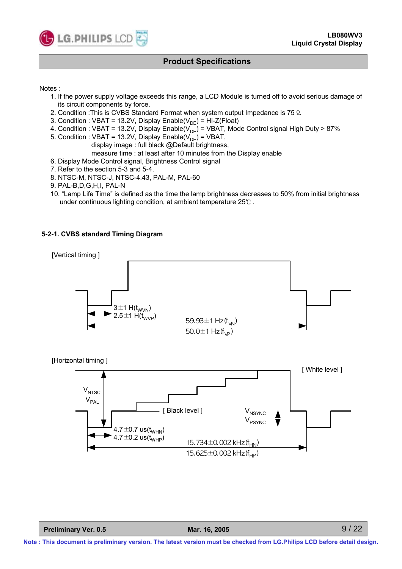

#### Notes :

- 1. If the power supply voltage exceeds this range, a LCD Module is turned off to avoid serious damage of its circuit components by force.
- 2. Condition :This is CVBS Standard Format when system output Impedance is 75Ω.
- 3. Condition : VBAT = 13.2V, Display Enable( $V_{DE}$ ) = Hi-Z(Float)
- 4. Condition : VBAT = 13.2V, Display Enable( $V_{DE}$ ) = VBAT, Mode Control signal High Duty > 87%
- 5. Condition : VBAT = 13.2V, Display Enable( $V_{\text{DE}}$ ) = VBAT,
	- display image : full black @Default brightness,
	- measure time : at least after 10 minutes from the Display enable
- 6. Display Mode Control signal, Brightness Control signal
- 7. Refer to the section 5-3 and 5-4.
- 8. NTSC-M, NTSC-J, NTSC-4.43, PAL-M, PAL-60
- 9. PAL-B,D,G,H,I, PAL-N
- 10. "Lamp Life Time" is defined as the time the lamp brightness decreases to 50% from initial brightness under continuous lighting condition, at ambient temperature 25℃ .

#### **5-2-1. CVBS standard Timing Diagram**



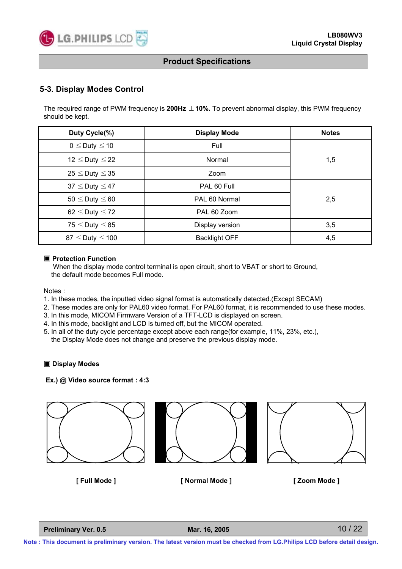

#### **5-3. Display Modes Control**

The required range of PWM frequency is **200Hz** ±**10%.** To prevent abnormal display, this PWM frequency should be kept.

| Duty Cycle(%)             | <b>Display Mode</b>  | <b>Notes</b> |  |
|---------------------------|----------------------|--------------|--|
| $0 \leq$ Duty $\leq$ 10   | Full                 | 1,5          |  |
| 12 $\leq$ Duty $\leq$ 22  | Normal               |              |  |
| $25 \leq$ Duty $\leq$ 35  | Zoom                 |              |  |
| $37 \leq$ Duty $\leq 47$  | PAL 60 Full          |              |  |
| $50 \leq$ Duty $\leq 60$  | PAL 60 Normal        |              |  |
| 62 $\leq$ Duty $\leq$ 72  | PAL 60 Zoom          |              |  |
| $75 \leq$ Duty $\leq$ 85  | Display version      | 3,5          |  |
| $87 \leq$ Duty $\leq$ 100 | <b>Backlight OFF</b> | 4,5          |  |

#### ▣ **Protection Function**

When the display mode control terminal is open circuit, short to VBAT or short to Ground, the default mode becomes Full mode.

Notes :

- 1. In these modes, the inputted video signal format is automatically detected.(Except SECAM)
- 2. These modes are only for PAL60 video format. For PAL60 format, it is recommended to use these modes.
- 3. In this mode, MICOM Firmware Version of a TFT-LCD is displayed on screen.
- 4. In this mode, backlight and LCD is turned off, but the MICOM operated.
- 5. In all of the duty cycle percentage except above each range(for example, 11%, 23%, etc.), the Display Mode does not change and preserve the previous display mode.

#### ▣ **Display Modes**

#### **Ex.) @ Video source format : 4:3**







**[ Full Mode ] [ Normal Mode ] [ Zoom Mode ]**

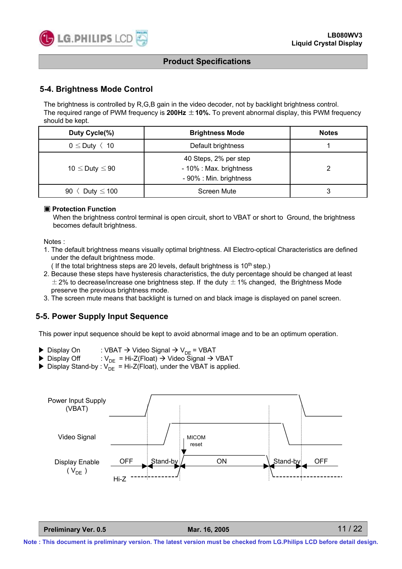

#### **5-4. Brightness Mode Control**

The brightness is controlled by R,G,B gain in the video decoder, not by backlight brightness control. The required range of PWM frequency is **200Hz** ±**10%.** To prevent abnormal display, this PWM frequency should be kept.

| Duty Cycle(%)              | <b>Brightness Mode</b>                                                      | <b>Notes</b> |
|----------------------------|-----------------------------------------------------------------------------|--------------|
| $0 \leq$ Duty $\langle 10$ | Default brightness                                                          |              |
| 10 $\leq$ Duty $\leq$ 90   | 40 Steps, 2% per step<br>- 10% : Max. brightness<br>- 90% : Min. brightness |              |
| Duty $\leq 100$<br>90      | Screen Mute                                                                 |              |

#### ▣ **Protection Function**

When the brightness control terminal is open circuit, short to VBAT or short to Ground, the brightness becomes default brightness.

Notes :

- 1. The default brightness means visually optimal brightness. All Electro-optical Characteristics are defined under the default brightness mode.
	- ( If the total brightness steps are 20 levels, default brightness is  $10<sup>th</sup>$  step.)
- 2. Because these steps have hysteresis characteristics, the duty percentage should be changed at least  $\pm$  2% to decrease/increase one brightness step. If the duty  $\pm$  1% changed, the Brightness Mode preserve the previous brightness mode.
- 3. The screen mute means that backlight is turned on and black image is displayed on panel screen.

#### **5-5. Power Supply Input Sequence**

This power input sequence should be kept to avoid abnormal image and to be an optimum operation.

- ▶ Display On : VBAT  $\rightarrow$  Video Signal  $\rightarrow$  V<sub>DE</sub> = VBAT<br>▶ Display Off : V<sub>DE</sub> = Hi-Z(Float)  $\rightarrow$  Video Signal  $\rightarrow$  '
- :  $V_{DE}$  = Hi-Z(Float)  $\rightarrow$  Video Signal  $\rightarrow$  VBAT
- $\triangleright$  Display Stand-by :  $V_{DE}^{\perp}$  = Hi-Z(Float), under the VBAT is applied.



**Preliminary Ver. 0.5 Mar. 16, 2005**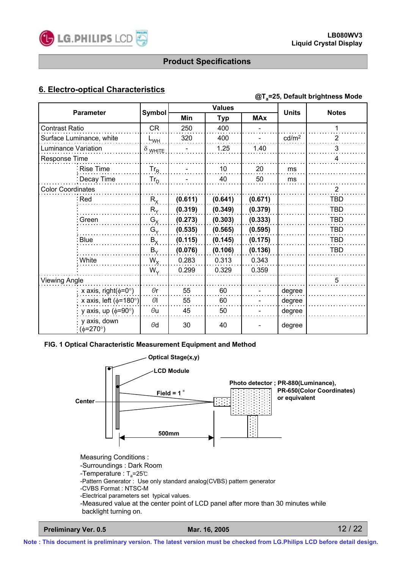

# **6. Electro-optical Characteristics @Ta=25, Default brightness Mode**

| <b>Parameter</b>         |                                               |                  | <b>Values</b> |            |            | <b>Units</b>      | <b>Notes</b>   |
|--------------------------|-----------------------------------------------|------------------|---------------|------------|------------|-------------------|----------------|
|                          |                                               | <b>Symbol</b>    | Min           | <b>Typ</b> | <b>MAx</b> |                   |                |
| <b>Contrast Ratio</b>    |                                               | <b>CR</b>        | 250           | 400        |            |                   |                |
|                          | Surface Luminance, white                      | L <sub>WH.</sub> | 320           | 400        |            | cd/m <sup>2</sup> | $\overline{2}$ |
| Luminance Variation      |                                               | $\delta$ white   |               | 1.25       | 1.40       |                   | 3              |
| Response Time            |                                               |                  |               |            |            |                   | 4              |
|                          | Rise Time                                     | $Tr_R$           |               | 10         | 20         | ms                |                |
|                          | Decay Time                                    | $Tr_{D}$         |               | 40         | 50         | ms                |                |
| <b>Color Coordinates</b> |                                               |                  |               |            |            |                   | $\overline{2}$ |
|                          | ∶Red                                          | $R_{x}$          | (0.611)       | (0.641)    | (0.671)    |                   | <b>TBD</b>     |
|                          |                                               | $R_Y$            | (0.319)       | (0.349)    | (0.379)    |                   | <b>TBD</b>     |
|                          | Green                                         | $G_X$            | (0.273)       | (0.303)    | (0.333)    |                   | <b>TBD</b>     |
|                          |                                               | $G_Y$            | (0.535)       | (0.565)    | (0.595)    |                   | <b>TBD</b>     |
|                          | <b>Blue</b>                                   | $B_X$            | (0.115)       | (0.145)    | (0.175)    |                   | <b>TBD</b>     |
|                          |                                               | $B_Y$            | (0.076)       | (0.106)    | (0.136)    |                   | <b>TBD</b>     |
|                          | : White                                       | $W_{\rm X}$      | 0.283         | 0.313      | 0.343      |                   |                |
|                          |                                               | $W_{Y}$          | 0.299         | 0.329      | 0.359      |                   |                |
| <b>Viewing Angle</b>     |                                               |                  |               |            |            |                   | 5              |
|                          | x axis, right( $\phi$ =0°)                    | $\Theta$ r       | 55            | 60         |            | degree            |                |
|                          | x axis, left ( $\phi$ =180°)                  | $\Theta$ l       | 55            | 60         |            | degree            |                |
|                          | y axis, up ( $\phi$ =90°)                     | $\theta$ u       | 45            | 50         |            | degree            |                |
|                          | y axis, down<br>$\frac{1}{2}$ ( $\phi$ =270°) | $\Theta$ d       | 30            | 40         |            | degree            |                |

#### **FIG. 1 Optical Characteristic Measurement Equipment and Method**

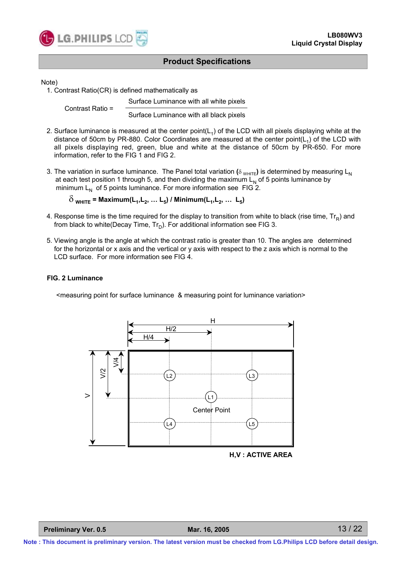

Note)

1. Contrast Ratio(CR) is defined mathematically as

Surface Luminance with all white pixels Contrast Ratio = Surface Luminance with all black pixels

- 2. Surface luminance is measured at the center point( $L_1$ ) of the LCD with all pixels displaying white at the distance of 50cm by PR-880. Color Coordinates are measured at the center point( $L_1$ ) of the LCD with all pixels displaying red, green, blue and white at the distance of 50cm by PR-650. For more information, refer to the FIG 1 and FIG 2.
- 3. The variation in surface luminance. The Panel total variation  $(\delta_{WHITE})$  is determined by measuring L<sub>N</sub> at each test position 1 through 5, and then dividing the maximum  $L<sub>N</sub>$  of 5 points luminance by minimum  $L_N$  of 5 points luminance. For more information see FIG 2.

 $\delta$ <sub>WHITE</sub> = Maximum(L<sub>1</sub>, L<sub>2</sub>, ... L<sub>5</sub>) / Minimum(L<sub>1</sub>, L<sub>2</sub>, ... L<sub>5</sub>)

- 4. Response time is the time required for the display to transition from white to black (rise time,  $Tr_R$ ) and from black to white(Decay Time,  $Tr_D$ ). For additional information see FIG 3.
- 5. Viewing angle is the angle at which the contrast ratio is greater than 10. The angles are determined for the horizontal or x axis and the vertical or y axis with respect to the z axis which is normal to the LCD surface. For more information see FIG 4.

#### **FIG. 2 Luminance**

<measuring point for surface luminance & measuring point for luminance variation>



**H,V : ACTIVE AREA**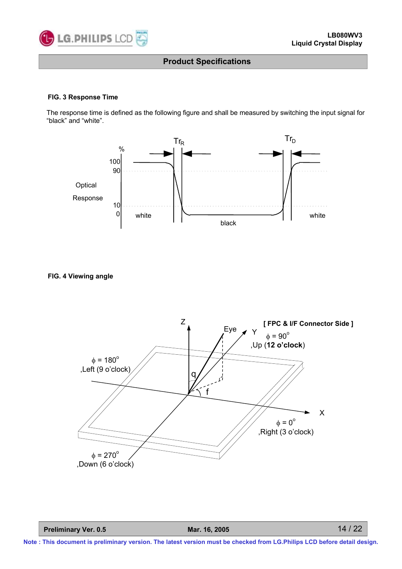

#### **FIG. 3 Response Time**

The response time is defined as the following figure and shall be measured by switching the input signal for "black" and "white".



**FIG. 4 Viewing angle**



**Preliminary Ver. 0.5 Mar. 16, 2005**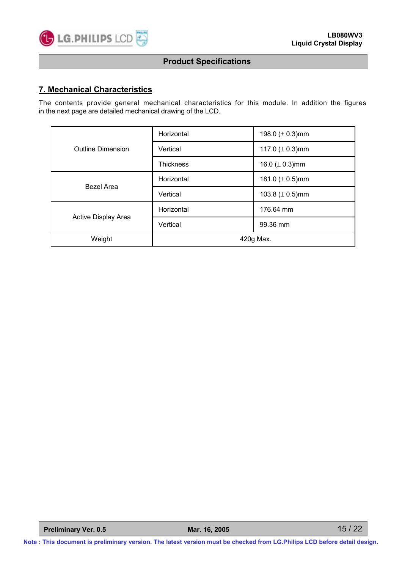

#### **7. Mechanical Characteristics**

The contents provide general mechanical characteristics for this module. In addition the figures in the next page are detailed mechanical drawing of the LCD.

| <b>Outline Dimension</b> | Horizontal       | 198.0 $(\pm 0.3)$ mm |  |
|--------------------------|------------------|----------------------|--|
|                          | Vertical         | 117.0 $(\pm 0.3)$ mm |  |
|                          | <b>Thickness</b> | 16.0 ( $\pm$ 0.3)mm  |  |
| <b>Bezel Area</b>        | Horizontal       | 181.0 $(\pm 0.5)$ mm |  |
|                          | Vertical         | 103.8 $(\pm 0.5)$ mm |  |
|                          | Horizontal       | 176.64 mm            |  |
| Active Display Area      | Vertical         | 99.36 mm             |  |
| Weight                   | 420g Max.        |                      |  |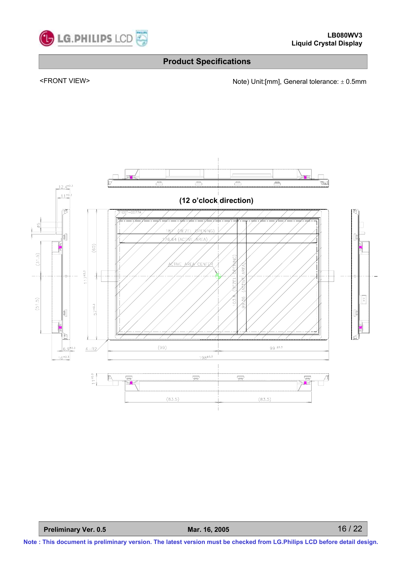

<FRONT VIEW><br>Note) Unit:[mm], General tolerance: ± 0.5mm

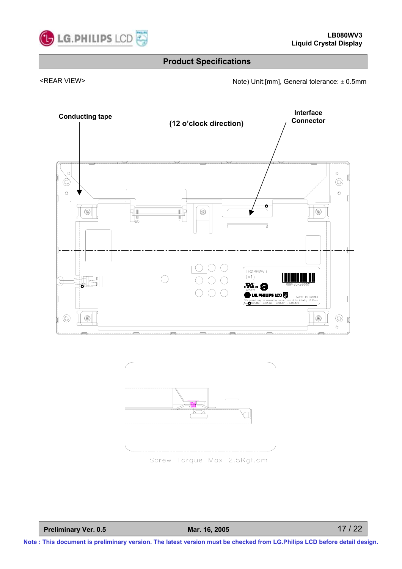

<REAR VIEW> Note) Unit:[mm], General tolerance: ± 0.5mm





Screw Torque Max 2.5Kgf.cm

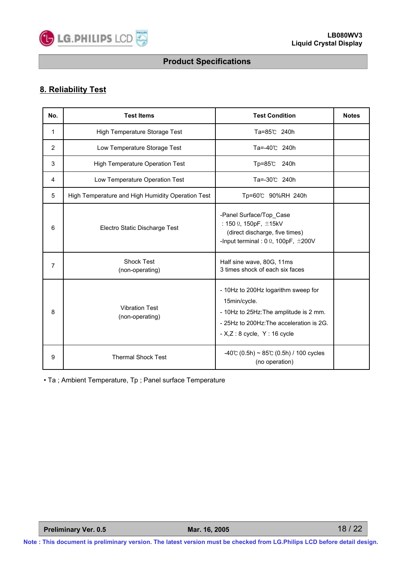

# **8. Reliability Test**

| No.            | <b>Test Items</b>                                 | <b>Test Condition</b>                                                                                                                                                      | <b>Notes</b> |
|----------------|---------------------------------------------------|----------------------------------------------------------------------------------------------------------------------------------------------------------------------------|--------------|
| 1              | High Temperature Storage Test                     | Ta=85℃ 240h                                                                                                                                                                |              |
| 2              | Low Temperature Storage Test                      | Ta=-40℃ 240h                                                                                                                                                               |              |
| 3              | <b>High Temperature Operation Test</b>            | $Tp=85^\circ$<br>240h                                                                                                                                                      |              |
| 4              | Low Temperature Operation Test                    | Ta=-30℃ 240h                                                                                                                                                               |              |
| 5              | High Temperature and High Humidity Operation Test | Tp=60℃ 90%RH 240h                                                                                                                                                          |              |
| 6              | Electro Static Discharge Test                     | -Panel Surface/Top_Case<br>: 150 $\Omega$ , 150pF, $\pm$ 15kV<br>(direct discharge, five times)<br>-Input terminal: $0 \Omega$ , 100pF, $\pm 200V$                         |              |
| $\overline{7}$ | <b>Shock Test</b><br>(non-operating)              | Half sine wave, 80G, 11ms<br>3 times shock of each six faces                                                                                                               |              |
| 8              | <b>Vibration Test</b><br>(non-operating)          | - 10Hz to 200Hz logarithm sweep for<br>15min/cycle.<br>- 10Hz to 25Hz: The amplitude is 2 mm.<br>- 25Hz to 200Hz: The acceleration is 2G.<br>$- X,Z:8$ cycle, $Y:16$ cycle |              |
| 9              | <b>Thermal Shock Test</b>                         | $-40^{\circ}$ (0.5h) ~ 85°C (0.5h) / 100 cycles<br>(no operation)                                                                                                          |              |

• Ta ; Ambient Temperature, Tp ; Panel surface Temperature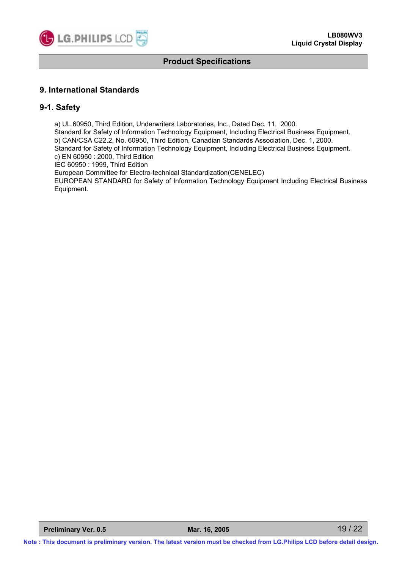

#### **9. International Standards**

#### **9-1. Safety**

a) UL 60950, Third Edition, Underwriters Laboratories, Inc., Dated Dec. 11, 2000. Standard for Safety of Information Technology Equipment, Including Electrical Business Equipment. b) CAN/CSA C22.2, No. 60950, Third Edition, Canadian Standards Association, Dec. 1, 2000. Standard for Safety of Information Technology Equipment, Including Electrical Business Equipment. c) EN 60950 : 2000, Third Edition IEC 60950 : 1999, Third Edition European Committee for Electro-technical Standardization(CENELEC) EUROPEAN STANDARD for Safety of Information Technology Equipment Including Electrical Business Equipment.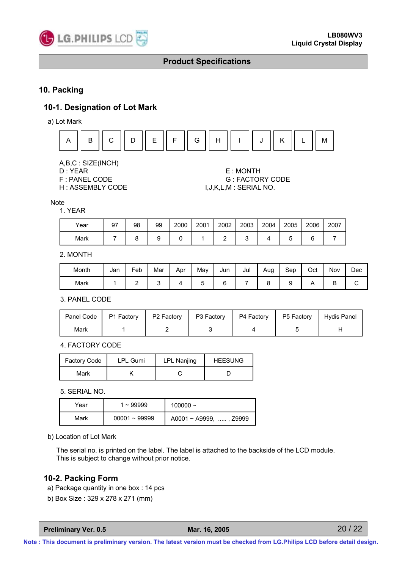

#### **10. Packing**

#### **10-1. Designation of Lot Mark**

a) Lot Mark



A,B,C : SIZE(INCH)

- 
- 

#### D : YEAR E : MONTH F : PANEL CODE G : FACTORY CODE H : ASSEMBLY CODE I,J,K,L,M : SERIAL NO.

Note

#### 1. YEAR

| Year | 97 | 98 | 99 | 2000 | 2001 | 2002 | 2003 | 2004 | 2005 | 2006   | 2007 |
|------|----|----|----|------|------|------|------|------|------|--------|------|
| Mark |    | ∼  |    |      |      |      |      |      | v    | ⌒<br>⊾ |      |

#### 2. MONTH

| Month | Jan | -<br>Feb | Mar | Apr | Mav | Jun | Jul | Aug | Sep | Oct | Nov | Dec |
|-------|-----|----------|-----|-----|-----|-----|-----|-----|-----|-----|-----|-----|
| Mark  |     |          |     |     |     |     |     |     |     |     |     |     |

3. PANEL CODE

| Panel Code | P1 Factory | P2 Factory | P3 Factory | P4 Factory | P5 Factory | Hydis Panel |
|------------|------------|------------|------------|------------|------------|-------------|
| Mark       |            |            |            |            |            |             |

4. FACTORY CODE

| Factory Code | <b>LPL Gumi</b> | LPL Nanjing | <b>HEESUNG</b> |
|--------------|-----------------|-------------|----------------|
| Mark         |                 |             |                |

5. SERIAL NO.

| Year | $\sim$ 99999    | 100000 $\sim$                |
|------|-----------------|------------------------------|
| Mark | $00001 - 99999$ | $A0001 \sim A9999$ , , Z9999 |

#### b) Location of Lot Mark

The serial no. is printed on the label. The label is attached to the backside of the LCD module. This is subject to change without prior notice.

#### **10-2. Packing Form**

- a) Package quantity in one box : 14 pcs
- b) Box Size : 329 x 278 x 271 (mm)

**Preliminary Ver. 0.5 Mar. 16, 2005**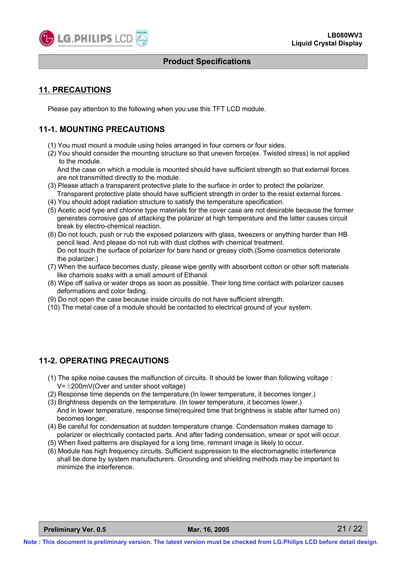

#### **11. PRECAUTIONS**

Please pay attention to the following when you use this TFT LCD module.

#### **11-1. MOUNTING PRECAUTIONS**

- (1) You must mount a module using holes arranged in four corners or four sides.
- (2) You should consider the mounting structure so that uneven force(ex. Twisted stress) is not applied to the module.

And the case on which a module is mounted should have sufficient strength so that external forces are not transmitted directly to the module.

- (3) Please attach a transparent protective plate to the surface in order to protect the polarizer. Transparent protective plate should have sufficient strength in order to the resist external forces.
- (4) You should adopt radiation structure to satisfy the temperature specification.
- (5) Acetic acid type and chlorine type materials for the cover case are not desirable because the former generates corrosive gas of attacking the polarizer at high temperature and the latter causes circuit break by electro-chemical reaction.
- (6) Do not touch, push or rub the exposed polarizers with glass, tweezers or anything harder than HB pencil lead. And please do not rub with dust clothes with chemical treatment. Do not touch the surface of polarizer for bare hand or greasy cloth.(Some cosmetics deteriorate the polarizer.)
- (7) When the surface becomes dusty, please wipe gently with absorbent cotton or other soft materials like chamois soaks with a small amount of Ethanol.
- (8) Wipe off saliva or water drops as soon as possible. Their long time contact with polarizer causes deformations and color fading.
- (9) Do not open the case because inside circuits do not have sufficient strength.
- (10) The metal case of a module should be contacted to electrical ground of your system.

#### **11-2. OPERATING PRECAUTIONS**

- (1) The spike noise causes the malfunction of circuits. It should be lower than following voltage :  $V=\pm 200$ mV(Over and under shoot voltage)
- (2) Response time depends on the temperature.(In lower temperature, it becomes longer.)
- (3) Brightness depends on the temperature. (In lower temperature, it becomes lower.) And in lower temperature, response time(required time that brightness is stable after turned on) becomes longer.
- (4) Be careful for condensation at sudden temperature change. Condensation makes damage to polarizer or electrically contacted parts. And after fading condensation, smear or spot will occur.
- (5) When fixed patterns are displayed for a long time, remnant image is likely to occur.
- (6) Module has high frequency circuits. Sufficient suppression to the electromagnetic interference shall be done by system manufacturers. Grounding and shielding methods may be important to minimize the interference.